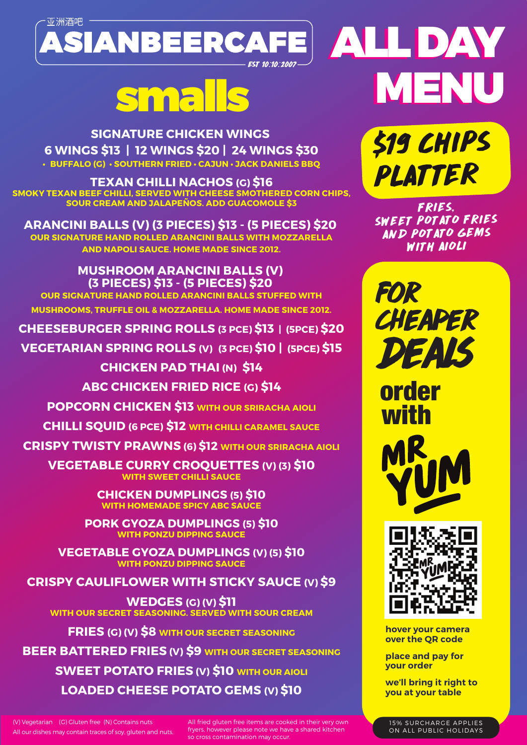

**SIGNATURE CHICKEN WINGS 6 WINGS \$13 | 12 WINGS \$20 | 24 WINGS \$30 • BUFFALO (G) • SOUTHERN FRIED • CAJUN • JACK DANIELS BBQ**

**TEXAN CHILLI NACHOS (G) \$16 SMOKY TEXAN BEEF CHILLI, SERVED WITH CHEESE SMOTHERED CORN CHIPS, SOUR CREAM AND JALAPEÑOS. ADD GUACOMOLE \$3**

**ARANCINI BALLS (V) (3 PIECES) \$13 - (5 PIECES) \$20 OUR SIGNATURE HAND ROLLED ARANCINI BALLS WITH MOZZARELLA AND NAPOLI SAUCE. HOME MADE SINCE 2012.**

**MUSHROOM ARANCINI BALLS (V) (3 PIECES) \$13 - (5 PIECES) \$20 OUR SIGNATURE HAND ROLLED ARANCINI BALLS STUFFED WITH MUSHROOMS, TRUFFLE OIL & MOZZARELLA. HOME MADE SINCE 2012.**

**CHEESEBURGER SPRING ROLLS (3 PCE) \$13 | (5PCE) \$20**

**VEGETARIAN SPRING ROLLS (V) (3 PCE) \$10 | (5PCE) \$15**

**CHICKEN PAD THAI (N) \$14 ABC CHICKEN FRIED RICE (G) \$14**

**POPCORN CHICKEN \$13 WITH OUR SRIRACHA AIOLI**

**CHILLI SQUID (6 PCE) \$12 WITH CHILLI CARAMEL SAUCE**

**CRISPY TWISTY PRAWNS (6) \$12 WITH OUR SRIRACHA AIOLI**

**VEGETABLE CURRY CROQUETTES (V) (3) \$10 WITH SWEET CHILLI SAUCE**

> **CHICKEN DUMPLINGS (5) \$10 WITH HOMEMADE SPICY ABC SAU**

**PORK GYOZA DUMPLINGS (5) \$10 WITH PONZU DIPPING SAUCE**

**VEGETABLE GYOZA DUMPLINGS (V) (5) \$10 WITH PONZU DIPPING SAUCE**

**CRISPY CAULIFLOWER WITH STICKY SAUCE (V) \$9**

**WEDGES (G) (V) \$11 WITH OUR SECRET SEASONING. SERVED WITH SOUR CREAM**

**FRIES (G) (V) \$8 WITH OUR SECRET SEASONING**

**BEER BATTERED FRIES (V) \$9 WITH OUR SECRET SEASONING SWEET POTATO FRIES (V) \$10 WITH OUR AIOLI LOADED CHEESE POTATO GEMS (V) \$10**

(V) Vegetarian (G) Gluten free (N) Contains nuts All our dishes may contain traces of soy, gluten and nuts. All fried gluten free items are cooked in their very own fryers, however please note we have a shared kitchen so cross contamination may occur.

ALL DAY ALL DAY MENU smalls MENU

> \$19 CHIPS PLATTER

FRIES, SWEET POTATO FRIES AND POTATO GEMS WITH AIOLI

for cheaper deals

order with





**hover your camera over the QR code** 

**place and pay for your order**

**we'll bring it right to you at your table**

15% SURCHARGE APPLIES ON ALL PUBLIC HOLIDAYS